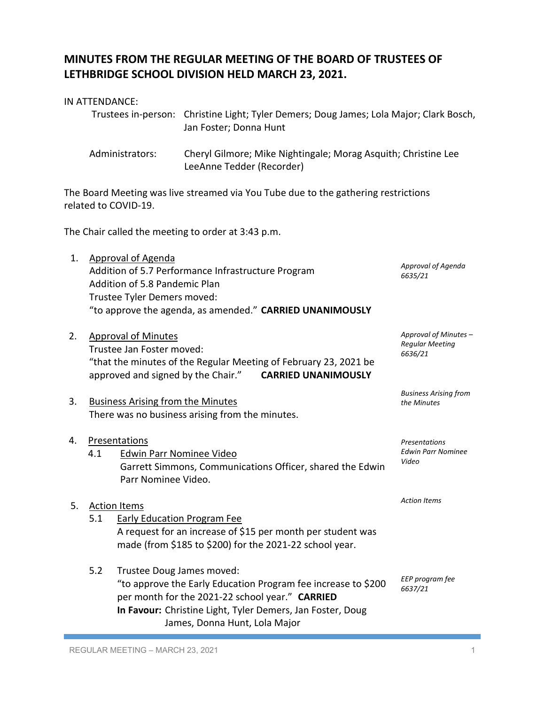# **MINUTES FROM THE REGULAR MEETING OF THE BOARD OF TRUSTEES OF LETHBRIDGE SCHOOL DIVISION HELD MARCH 23, 2021.**

#### IN ATTENDANCE:

|                 | Trustees in-person: Christine Light; Tyler Demers; Doug James; Lola Major; Clark Bosch,<br>Jan Foster; Donna Hunt |
|-----------------|-------------------------------------------------------------------------------------------------------------------|
| Administrators: | Cheryl Gilmore; Mike Nightingale; Morag Asquith; Christine Lee<br>LeeAnne Tedder (Recorder)                       |

The Board Meeting was live streamed via You Tube due to the gathering restrictions related to COVID-19.

The Chair called the meeting to order at 3:43 p.m.

| 1. Approval of Agenda                                    |                               |
|----------------------------------------------------------|-------------------------------|
| Addition of 5.7 Performance Infrastructure Program       | Approval of Agenda<br>6635/21 |
| Addition of 5.8 Pandemic Plan                            |                               |
| Trustee Tyler Demers moved:                              |                               |
| "to approve the agenda, as amended." CARRIED UNANIMOUSLY |                               |

2. Approval of Minutes Trustee Jan Foster moved: "that the minutes of the Regular Meeting of February 23, 2021 be approved and signed by the Chair." **CARRIED UNANIMOUSLY** *Approval of Minutes – Regular Meeting 6636/21* 

## 3. Business Arising from the Minutes There was no business arising from the minutes.

#### 4. Presentations

4.1 Edwin Parr Nominee Video Garrett Simmons, Communications Officer, shared the Edwin Parr Nominee Video.

#### 5. Action Items

- 5.1 Early Education Program Fee A request for an increase of \$15 per month per student was made (from \$185 to \$200) for the 2021-22 school year.
- 5.2 Trustee Doug James moved: "to approve the Early Education Program fee increase to \$200 per month for the 2021-22 school year." **CARRIED In Favour:** Christine Light, Tyler Demers, Jan Foster, Doug James, Donna Hunt, Lola Major *EEP program fee 6637/21*

*Business Arising from the Minutes*

*Presentations Edwin Parr Nominee* 

*Action Items*

*Video*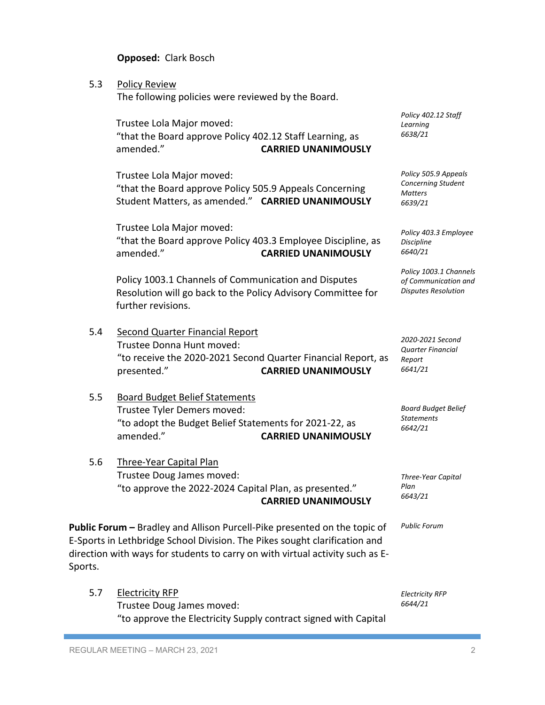**Opposed:** Clark Bosch

5.3 Policy Review

The following policies were reviewed by the Board.

|     | Trustee Lola Major moved:<br>"that the Board approve Policy 402.12 Staff Learning, as<br>amended."<br><b>CARRIED UNANIMOUSLY</b>                                                                                                         | Policy 402.12 Staff<br>Learning<br>6638/21                                   |
|-----|------------------------------------------------------------------------------------------------------------------------------------------------------------------------------------------------------------------------------------------|------------------------------------------------------------------------------|
|     | Trustee Lola Major moved:<br>"that the Board approve Policy 505.9 Appeals Concerning<br>Student Matters, as amended." CARRIED UNANIMOUSLY                                                                                                | Policy 505.9 Appeals<br>Concerning Student<br><b>Matters</b><br>6639/21      |
|     | Trustee Lola Major moved:<br>"that the Board approve Policy 403.3 Employee Discipline, as<br>amended."<br><b>CARRIED UNANIMOUSLY</b>                                                                                                     | Policy 403.3 Employee<br><b>Discipline</b><br>6640/21                        |
|     | Policy 1003.1 Channels of Communication and Disputes<br>Resolution will go back to the Policy Advisory Committee for<br>further revisions.                                                                                               | Policy 1003.1 Channels<br>of Communication and<br><b>Disputes Resolution</b> |
| 5.4 | <b>Second Quarter Financial Report</b><br>Trustee Donna Hunt moved:<br>"to receive the 2020-2021 Second Quarter Financial Report, as<br>presented."<br><b>CARRIED UNANIMOUSLY</b>                                                        | 2020-2021 Second<br><b>Quarter Financial</b><br>Report<br>6641/21            |
| 5.5 | <b>Board Budget Belief Statements</b><br>Trustee Tyler Demers moved:<br>"to adopt the Budget Belief Statements for 2021-22, as<br>amended."<br><b>CARRIED UNANIMOUSLY</b>                                                                | <b>Board Budget Belief</b><br><b>Statements</b><br>6642/21                   |
| 5.6 | <b>Three-Year Capital Plan</b><br>Trustee Doug James moved:<br>"to approve the 2022-2024 Capital Plan, as presented."<br><b>CARRIED UNANIMOUSLY</b>                                                                                      | Three-Year Capital<br>Plan<br>6643/21                                        |
|     | Public Forum - Bradley and Allison Purcell-Pike presented on the topic of<br>E-Sports in Lethbridge School Division. The Pikes sought clarification and<br>direction with ways for students to carry on with virtual activity such as E- | <b>Public Forum</b>                                                          |

| 5.7 | <b>Electricity RFP</b>                                          | Electricity RFP |
|-----|-----------------------------------------------------------------|-----------------|
|     | Trustee Doug James moved:                                       | 6644/21         |
|     | "to approve the Electricity Supply contract signed with Capital |                 |

Sports.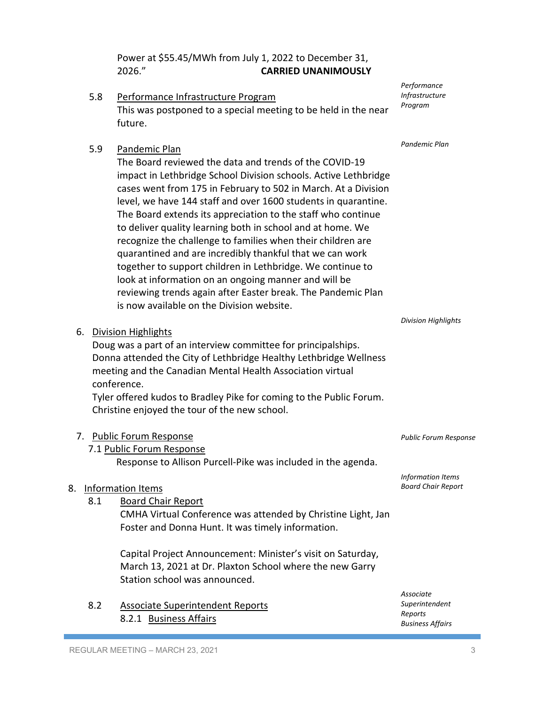Power at \$55.45/MWh from July 1, 2022 to December 31, 2026." **CARRIED UNANIMOUSLY**

- 5.8 Performance Infrastructure Program This was postponed to a special meeting to be held in the near future.
- 5.9 Pandemic Plan

The Board reviewed the data and trends of the COVID-19 impact in Lethbridge School Division schools. Active Lethbridge cases went from 175 in February to 502 in March. At a Division level, we have 144 staff and over 1600 students in quarantine. The Board extends its appreciation to the staff who continue to deliver quality learning both in school and at home. We recognize the challenge to families when their children are quarantined and are incredibly thankful that we can work together to support children in Lethbridge. We continue to look at information on an ongoing manner and will be reviewing trends again after Easter break. The Pandemic Plan is now available on the Division website.

6. Division Highlights

Doug was a part of an interview committee for principalships. Donna attended the City of Lethbridge Healthy Lethbridge Wellness meeting and the Canadian Mental Health Association virtual conference.

Tyler offered kudos to Bradley Pike for coming to the Public Forum. Christine enjoyed the tour of the new school.

### 7. Public Forum Response

7.1 Public Forum Response Response to Allison Purcell-Pike was included in the agenda.

#### 8. Information Items

8.1 Board Chair Report

CMHA Virtual Conference was attended by Christine Light, Jan Foster and Donna Hunt. It was timely information.

Capital Project Announcement: Minister's visit on Saturday, March 13, 2021 at Dr. Plaxton School where the new Garry Station school was announced.

8.2 Associate Superintendent Reports 8.2.1 Business Affairs

*Performance Infrastructure Program*

*Pandemic Plan*

*Division Highlights*

*Public Forum Response*

*Information Items Board Chair Report*

*Associate Superintendent Reports Business Affairs*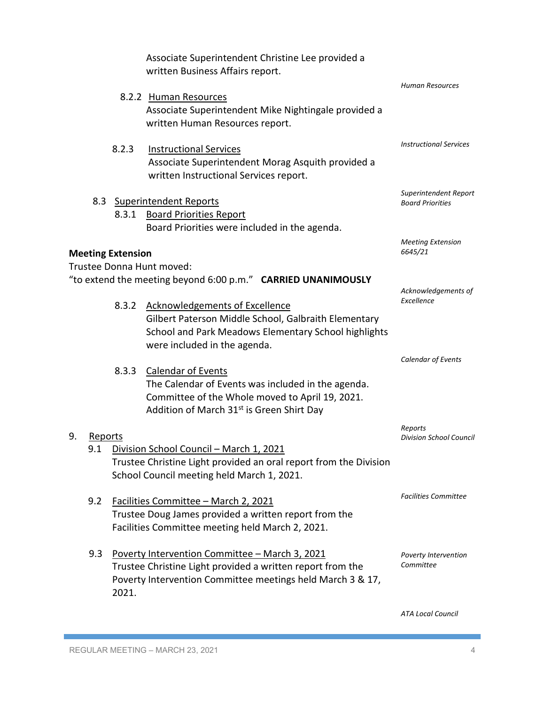|                                                       |                |       | Associate Superintendent Christine Lee provided a<br>written Business Affairs report.                                                                                                      |                                                  |
|-------------------------------------------------------|----------------|-------|--------------------------------------------------------------------------------------------------------------------------------------------------------------------------------------------|--------------------------------------------------|
|                                                       |                |       | 8.2.2 Human Resources<br>Associate Superintendent Mike Nightingale provided a<br>written Human Resources report.                                                                           | Human Resources                                  |
|                                                       |                | 8.2.3 | <b>Instructional Services</b><br>Associate Superintendent Morag Asquith provided a<br>written Instructional Services report.                                                               | <b>Instructional Services</b>                    |
|                                                       |                |       | 8.3 Superintendent Reports<br>8.3.1 Board Priorities Report<br>Board Priorities were included in the agenda.                                                                               | Superintendent Report<br><b>Board Priorities</b> |
| <b>Meeting Extension</b><br>Trustee Donna Hunt moved: |                |       | <b>Meeting Extension</b><br>6645/21                                                                                                                                                        |                                                  |
|                                                       |                |       | "to extend the meeting beyond 6:00 p.m." CARRIED UNANIMOUSLY                                                                                                                               |                                                  |
|                                                       |                |       |                                                                                                                                                                                            | Acknowledgements of<br>Excellence                |
|                                                       |                | 8.3.2 | <b>Acknowledgements of Excellence</b><br>Gilbert Paterson Middle School, Galbraith Elementary<br>School and Park Meadows Elementary School highlights<br>were included in the agenda.      |                                                  |
|                                                       |                |       | 8.3.3 Calendar of Events<br>The Calendar of Events was included in the agenda.<br>Committee of the Whole moved to April 19, 2021.<br>Addition of March 31 <sup>st</sup> is Green Shirt Day | Calendar of Events                               |
|                                                       |                |       |                                                                                                                                                                                            | Reports                                          |
| 9.                                                    | <u>Reports</u> |       | 9.1 Division School Council - March 1, 2021<br>Trustee Christine Light provided an oral report from the Division<br>School Council meeting held March 1, 2021.                             | <b>Division School Council</b>                   |
|                                                       | 9.2            |       | Facilities Committee - March 2, 2021<br>Trustee Doug James provided a written report from the<br>Facilities Committee meeting held March 2, 2021.                                          | <b>Facilities Committee</b>                      |
|                                                       | 9.3            | 2021. | Poverty Intervention Committee - March 3, 2021<br>Trustee Christine Light provided a written report from the<br>Poverty Intervention Committee meetings held March 3 & 17,                 | Poverty Intervention<br>Committee                |
|                                                       |                |       |                                                                                                                                                                                            | <b>ATA Local Council</b>                         |